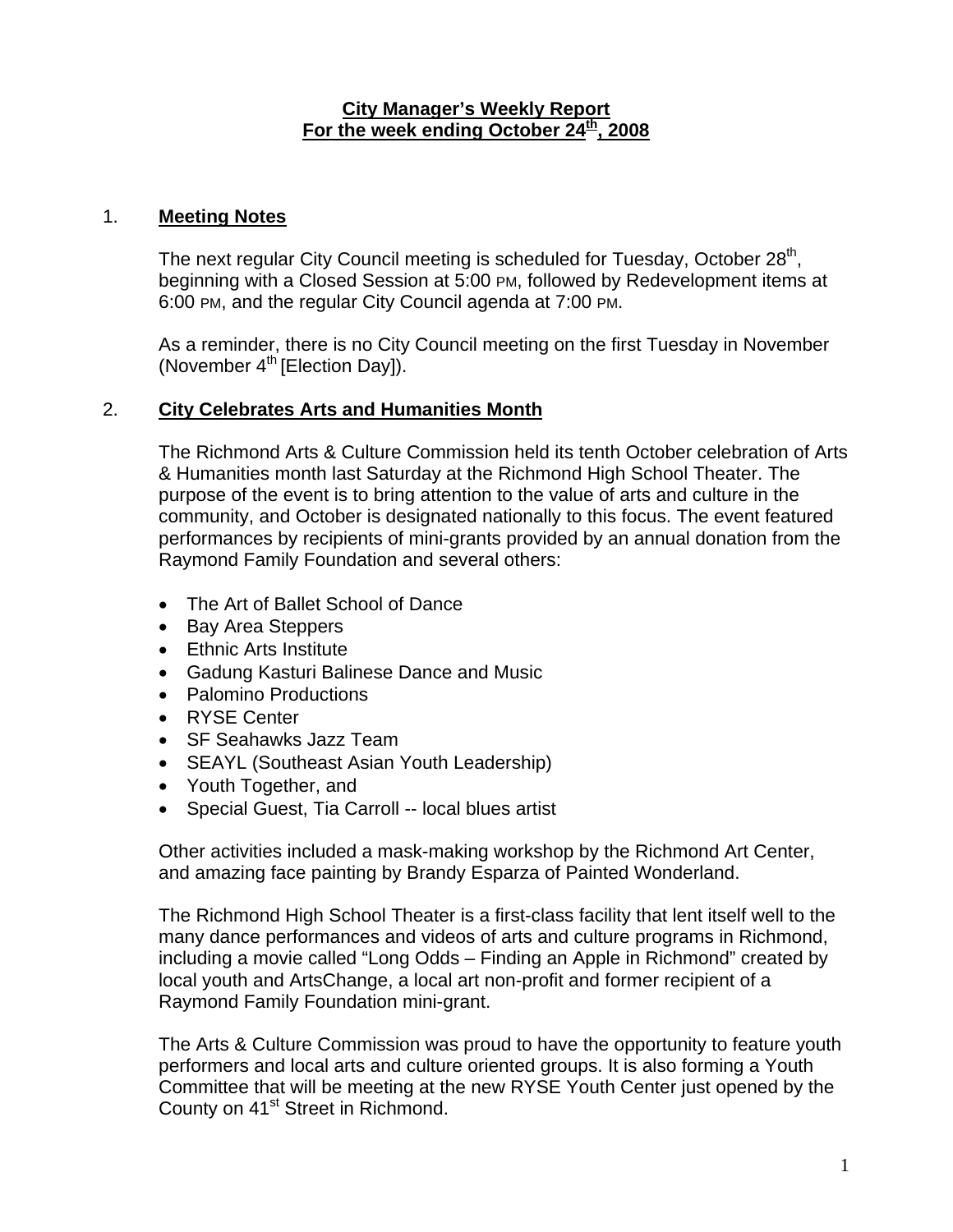### **City Manager's Weekly Report** For the week ending October 24<sup>th</sup>, 2008

### 1. **Meeting Notes**

The next regular City Council meeting is scheduled for Tuesday, October 28<sup>th</sup>, beginning with a Closed Session at 5:00 PM, followed by Redevelopment items at 6:00 PM, and the regular City Council agenda at 7:00 PM.

As a reminder, there is no City Council meeting on the first Tuesday in November (November  $4<sup>th</sup>$  [Election Day]).

## 2. **City Celebrates Arts and Humanities Month**

The Richmond Arts & Culture Commission held its tenth October celebration of Arts & Humanities month last Saturday at the Richmond High School Theater. The purpose of the event is to bring attention to the value of arts and culture in the community, and October is designated nationally to this focus. The event featured performances by recipients of mini-grants provided by an annual donation from the Raymond Family Foundation and several others:

- The Art of Ballet School of Dance
- Bay Area Steppers
- Ethnic Arts Institute
- Gadung Kasturi Balinese Dance and Music
- Palomino Productions
- RYSE Center
- SF Seahawks Jazz Team
- SEAYL (Southeast Asian Youth Leadership)
- Youth Together, and
- Special Guest, Tia Carroll -- local blues artist

Other activities included a mask-making workshop by the Richmond Art Center, and amazing face painting by Brandy Esparza of Painted Wonderland.

The Richmond High School Theater is a first-class facility that lent itself well to the many dance performances and videos of arts and culture programs in Richmond, including a movie called "Long Odds – Finding an Apple in Richmond" created by local youth and ArtsChange, a local art non-profit and former recipient of a Raymond Family Foundation mini-grant.

The Arts & Culture Commission was proud to have the opportunity to feature youth performers and local arts and culture oriented groups. It is also forming a Youth Committee that will be meeting at the new RYSE Youth Center just opened by the County on 41<sup>st</sup> Street in Richmond.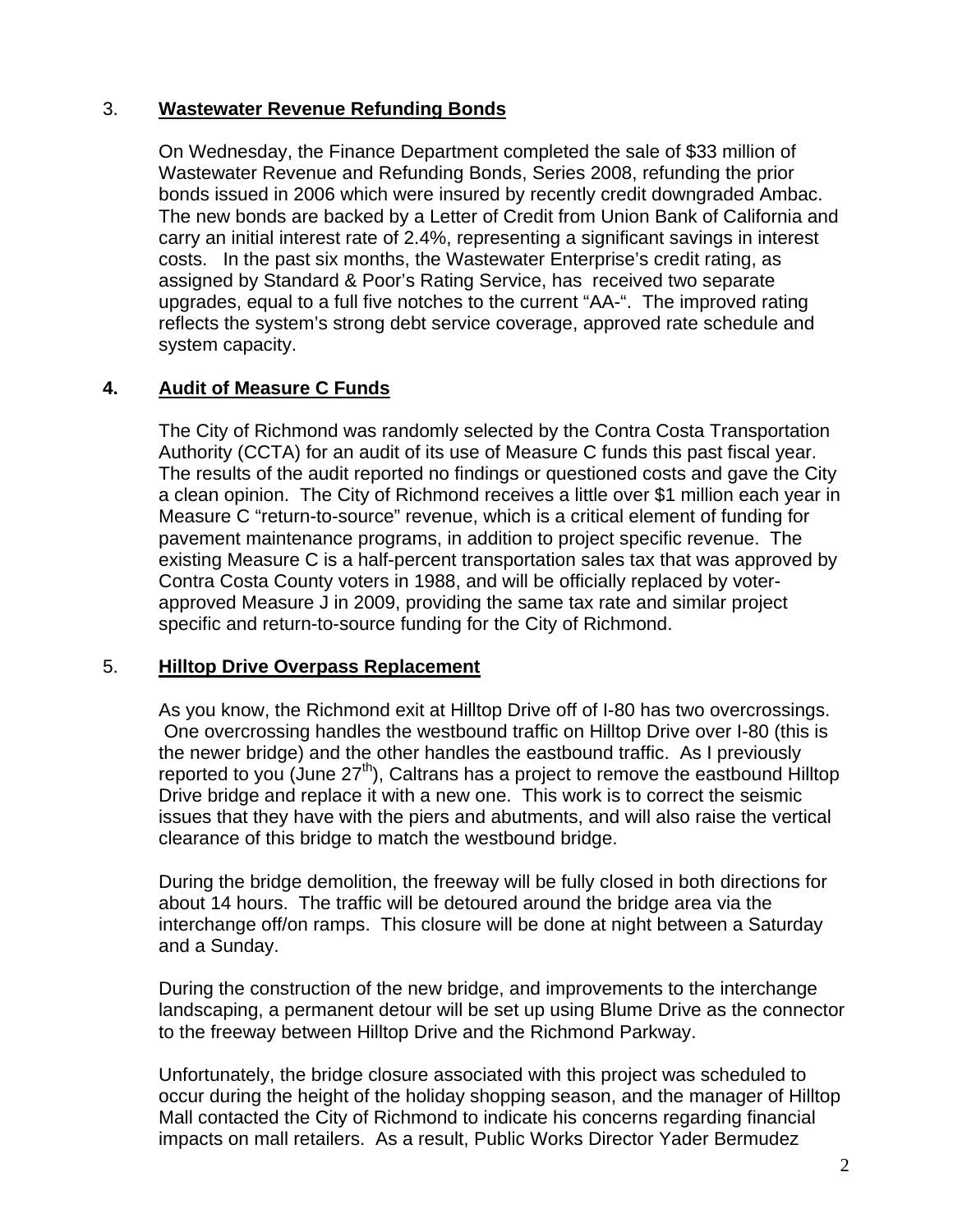# 3. **Wastewater Revenue Refunding Bonds**

On Wednesday, the Finance Department completed the sale of \$33 million of Wastewater Revenue and Refunding Bonds, Series 2008, refunding the prior bonds issued in 2006 which were insured by recently credit downgraded Ambac. The new bonds are backed by a Letter of Credit from Union Bank of California and carry an initial interest rate of 2.4%, representing a significant savings in interest costs. In the past six months, the Wastewater Enterprise's credit rating, as assigned by Standard & Poor's Rating Service, has received two separate upgrades, equal to a full five notches to the current "AA-". The improved rating reflects the system's strong debt service coverage, approved rate schedule and system capacity.

## **4. Audit of Measure C Funds**

The City of Richmond was randomly selected by the Contra Costa Transportation Authority (CCTA) for an audit of its use of Measure C funds this past fiscal year. The results of the audit reported no findings or questioned costs and gave the City a clean opinion. The City of Richmond receives a little over \$1 million each year in Measure C "return-to-source" revenue, which is a critical element of funding for pavement maintenance programs, in addition to project specific revenue. The existing Measure C is a half-percent transportation sales tax that was approved by Contra Costa County voters in 1988, and will be officially replaced by voterapproved Measure J in 2009, providing the same tax rate and similar project specific and return-to-source funding for the City of Richmond.

### 5. **Hilltop Drive Overpass Replacement**

As you know, the Richmond exit at Hilltop Drive off of I-80 has two overcrossings. One overcrossing handles the westbound traffic on Hilltop Drive over I-80 (this is the newer bridge) and the other handles the eastbound traffic. As I previously reported to you (June  $27<sup>th</sup>$ ), Caltrans has a project to remove the eastbound Hilltop Drive bridge and replace it with a new one. This work is to correct the seismic issues that they have with the piers and abutments, and will also raise the vertical clearance of this bridge to match the westbound bridge.

During the bridge demolition, the freeway will be fully closed in both directions for about 14 hours. The traffic will be detoured around the bridge area via the interchange off/on ramps. This closure will be done at night between a Saturday and a Sunday.

During the construction of the new bridge, and improvements to the interchange landscaping, a permanent detour will be set up using Blume Drive as the connector to the freeway between Hilltop Drive and the Richmond Parkway.

Unfortunately, the bridge closure associated with this project was scheduled to occur during the height of the holiday shopping season, and the manager of Hilltop Mall contacted the City of Richmond to indicate his concerns regarding financial impacts on mall retailers. As a result, Public Works Director Yader Bermudez